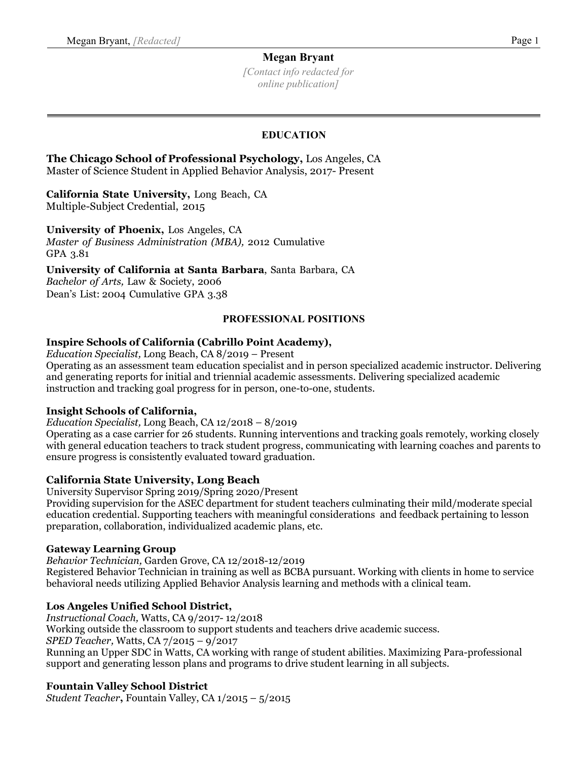*[Contact info redacted for online publication]*

### **EDUCATION**

 **The Chicago School of Professional Psychology,** Los Angeles, CA Master of Science Student in Applied Behavior Analysis, 2017- Present

#### **California State University,** Long Beach, CA Multiple-Subject Credential, 2015

**University of Phoenix,** Los Angeles, CA *Master of Business Administration (MBA),* 2012 Cumulative GPA 3.81

**University of California at Santa Barbara**, Santa Barbara, CA *Bachelor of Arts,* Law & Society, 2006

Dean's List: 2004 Cumulative GPA 3.38

### **PROFESSIONAL POSITIONS**

### **Inspire Schools of California (Cabrillo Point Academy),**

*Education Specialist,* Long Beach, CA 8/2019 – Present Operating as an assessment team education specialist and in person specialized academic instructor. Delivering and generating reports for initial and triennial academic assessments. Delivering specialized academic instruction and tracking goal progress for in person, one-to-one, students.

### **Insight Schools of California,**

*Education Specialist,* Long Beach, CA 12/2018 – 8/2019

Operating as a case carrier for 26 students. Running interventions and tracking goals remotely, working closely with general education teachers to track student progress, communicating with learning coaches and parents to ensure progress is consistently evaluated toward graduation.

### **California State University, Long Beach**

University Supervisor Spring 2019/Spring 2020/Present

Providing supervision for the ASEC department for student teachers culminating their mild/moderate special education credential. Supporting teachers with meaningful considerations and feedback pertaining to lesson preparation, collaboration, individualized academic plans, etc.

### **Gateway Learning Group**

*Behavior Technician,* Garden Grove, CA 12/2018-12/2019

Registered Behavior Technician in training as well as BCBA pursuant. Working with clients in home to service behavioral needs utilizing Applied Behavior Analysis learning and methods with a clinical team.

### **Los Angeles Unified School District,**

*Instructional Coach,* Watts, CA 9/2017- 12/2018

Working outside the classroom to support students and teachers drive academic success.

*SPED Teacher,* Watts, CA 7/2015 – 9/2017

Running an Upper SDC in Watts, CA working with range of student abilities. Maximizing Para-professional support and generating lesson plans and programs to drive student learning in all subjects.

## **Fountain Valley School District**

*Student Teacher***,** Fountain Valley, CA 1/2015 – 5/2015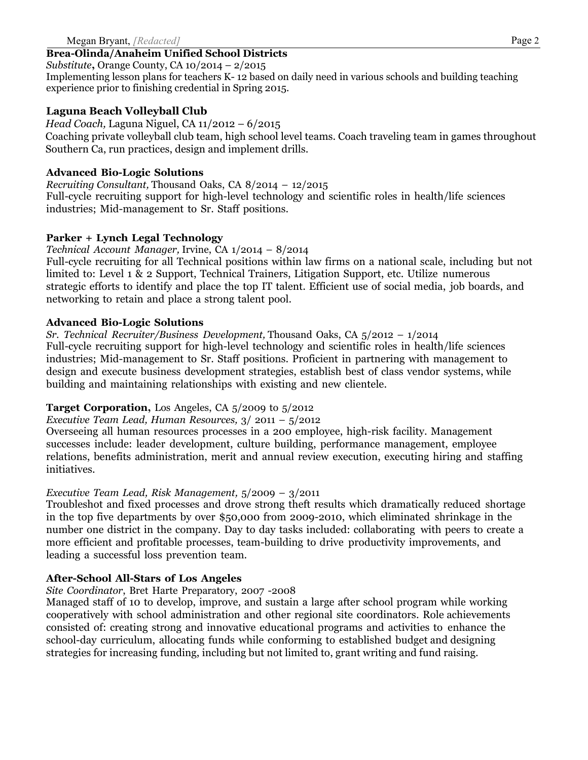## **Brea-Olinda/Anaheim Unified School Districts**

*Substitute***,** Orange County, CA 10/2014 – 2/2015

Implementing lesson plans for teachers K- 12 based on daily need in various schools and building teaching experience prior to finishing credential in Spring 2015.

# **Laguna Beach Volleyball Club**

*Head Coach,* Laguna Niguel, CA 11/2012 – 6/2015

Coaching private volleyball club team, high school level teams. Coach traveling team in games throughout Southern Ca, run practices, design and implement drills.

### **Advanced Bio-Logic Solutions**

*Recruiting Consultant,* Thousand Oaks, CA 8/2014 – 12/2015 Full-cycle recruiting support for high-level technology and scientific roles in health/life sciences industries; Mid-management to Sr. Staff positions.

### **Parker + Lynch Legal Technology**

*Technical Account Manager,* Irvine, CA 1/2014 – 8/2014

Full-cycle recruiting for all Technical positions within law firms on a national scale, including but not limited to: Level 1 & 2 Support, Technical Trainers, Litigation Support, etc. Utilize numerous strategic efforts to identify and place the top IT talent. Efficient use of social media, job boards, and networking to retain and place a strong talent pool.

### **Advanced Bio-Logic Solutions**

*Sr. Technical Recruiter/Business Development,* Thousand Oaks, CA 5/2012 – 1/2014 Full-cycle recruiting support for high-level technology and scientific roles in health/life sciences industries; Mid-management to Sr. Staff positions. Proficient in partnering with management to design and execute business development strategies, establish best of class vendor systems, while building and maintaining relationships with existing and new clientele.

## **Target Corporation,** Los Angeles, CA 5/2009 to 5/2012

*Executive Team Lead, Human Resources,* 3/ 2011 – 5/2012

Overseeing all human resources processes in a 200 employee, high-risk facility. Management successes include: leader development, culture building, performance management, employee relations, benefits administration, merit and annual review execution, executing hiring and staffing initiatives.

## *Executive Team Lead, Risk Management,* 5/2009 – 3/2011

Troubleshot and fixed processes and drove strong theft results which dramatically reduced shortage in the top five departments by over \$50,000 from 2009-2010, which eliminated shrinkage in the number one district in the company. Day to day tasks included: collaborating with peers to create a more efficient and profitable processes, team-building to drive productivity improvements, and leading a successful loss prevention team.

## **After-School All-Stars of Los Angeles**

# *Site Coordinator*, Bret Harte Preparatory, 2007 -2008

Managed staff of 10 to develop, improve, and sustain a large after school program while working cooperatively with school administration and other regional site coordinators. Role achievements consisted of: creating strong and innovative educational programs and activities to enhance the school-day curriculum, allocating funds while conforming to established budget and designing strategies for increasing funding, including but not limited to, grant writing and fund raising.